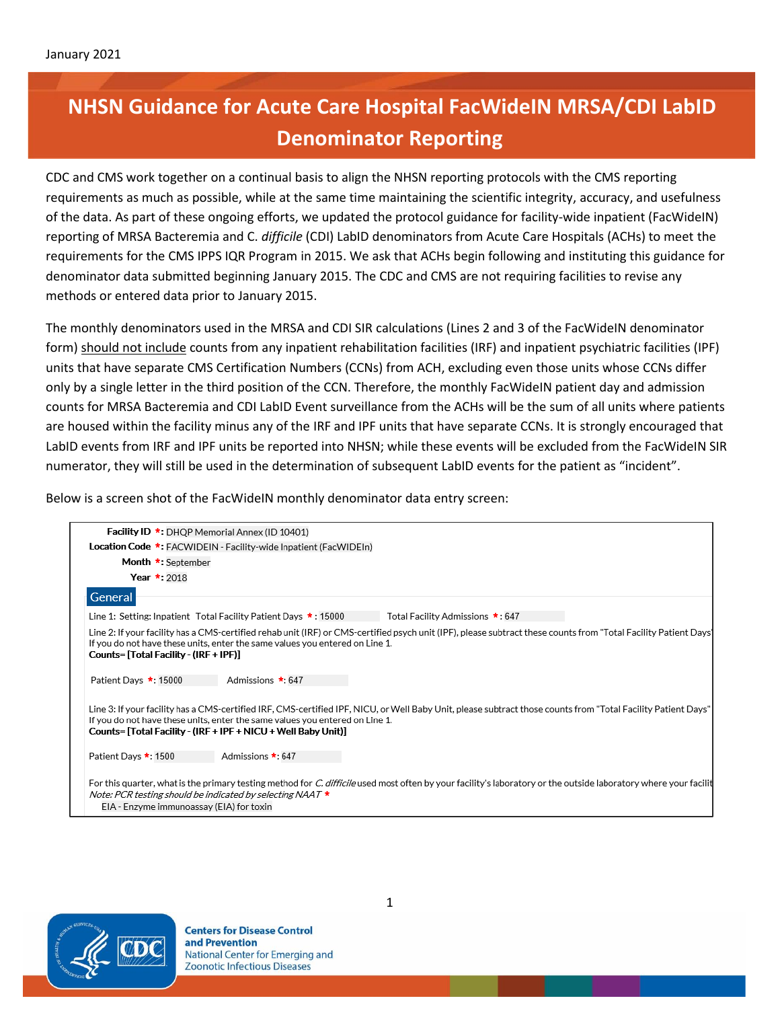## **NHSN Guidance for Acute Care Hospital FacWideIN MRSA/CDI LabID Denominator Reporting**

CDC and CMS work together on a continual basis to align the NHSN reporting protocols with the CMS reporting requirements as much as possible, while at the same time maintaining the scientific integrity, accuracy, and usefulness of the data. As part of these ongoing efforts, we updated the protocol guidance for facility-wide inpatient (FacWideIN) reporting of MRSA Bacteremia and C. *difficile* (CDI) LabID denominators from Acute Care Hospitals (ACHs) to meet the requirements for the CMS IPPS IQR Program in 2015. We ask that ACHs begin following and instituting this guidance for denominator data submitted beginning January 2015. The CDC and CMS are not requiring facilities to revise any methods or entered data prior to January 2015.

The monthly denominators used in the MRSA and CDI SIR calculations (Lines 2 and 3 of the FacWideIN denominator form) should not include counts from any inpatient rehabilitation facilities (IRF) and inpatient psychiatric facilities (IPF) units that have separate CMS Certification Numbers (CCNs) from ACH, excluding even those units whose CCNs differ only by a single letter in the third position of the CCN. Therefore, the monthly FacWideIN patient day and admission counts for MRSA Bacteremia and CDI LabID Event surveillance from the ACHs will be the sum of all units where patients are housed within the facility minus any of the IRF and IPF units that have separate CCNs. It is strongly encouraged that LabID events from IRF and IPF units be reported into NHSN; while these events will be excluded from the FacWideIN SIR numerator, they will still be used in the determination of subsequent LabID events for the patient as "incident".

Below is a screen shot of the FacWideIN monthly denominator data entry screen:

| <b>Facility ID *: DHQP Memorial Annex (ID 10401)</b>                                                                                                                                                                                                                                                            |                                                                  |                                                                                                                                                                  |  |
|-----------------------------------------------------------------------------------------------------------------------------------------------------------------------------------------------------------------------------------------------------------------------------------------------------------------|------------------------------------------------------------------|------------------------------------------------------------------------------------------------------------------------------------------------------------------|--|
|                                                                                                                                                                                                                                                                                                                 | Location Code *: FACWIDEIN - Facility-wide Inpatient (FacWIDEIn) |                                                                                                                                                                  |  |
| Month *: September                                                                                                                                                                                                                                                                                              |                                                                  |                                                                                                                                                                  |  |
| Year $*$ : 2018                                                                                                                                                                                                                                                                                                 |                                                                  |                                                                                                                                                                  |  |
| General                                                                                                                                                                                                                                                                                                         |                                                                  |                                                                                                                                                                  |  |
|                                                                                                                                                                                                                                                                                                                 | Line 1: Setting: Inpatient Total Facility Patient Days *: 15000  | Total Facility Admissions *: 647                                                                                                                                 |  |
| Line 2: If your facility has a CMS-certified rehab unit (IRF) or CMS-certified psych unit (IPF), please subtract these counts from "Total Facility Patient Days'<br>If you do not have these units, enter the same values you entered on Line 1.<br>Counts= [Total Facility - (IRF + IPF)]                      |                                                                  |                                                                                                                                                                  |  |
| Patient Days *: 15000                                                                                                                                                                                                                                                                                           | Admissions *: 647                                                |                                                                                                                                                                  |  |
| Line 3: If your facility has a CMS-certified IRF, CMS-certified IPF, NICU, or Well Baby Unit, please subtract those counts from "Total Facility Patient Days"<br>If you do not have these units, enter the same values you entered on Line 1.<br>Counts= [Total Facility - (IRF + IPF + NICU + Well Baby Unit)] |                                                                  |                                                                                                                                                                  |  |
| Patient Days *: 1500                                                                                                                                                                                                                                                                                            | Admissions *: 647                                                |                                                                                                                                                                  |  |
| Note: PCR testing should be indicated by selecting NAAT $\star$<br>EIA - Enzyme immunoassay (EIA) for toxin                                                                                                                                                                                                     |                                                                  | For this quarter, what is the primary testing method for C. difficile used most often by your facility's laboratory or the outside laboratory where your facilit |  |



**Centers for Disease Control** and Prevention National Center for Emerging and Zoonotic Infectious Diseases